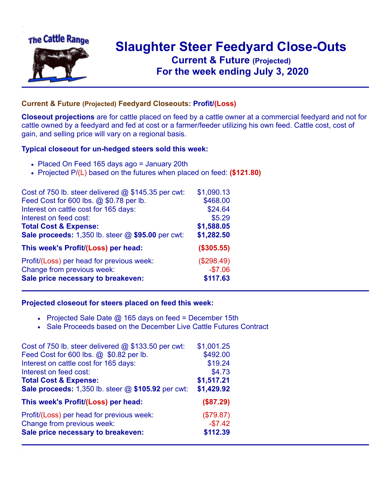

## **Slaughter Steer Feedyard Close-Outs Current & Future (Projected)** .**For the week ending July 3, 2020**

## **Current & Future (Projected) Feedyard Closeouts: Profit/(Loss)**

**Closeout projections** are for cattle placed on feed by a cattle owner at a commercial feedyard and not for cattle owned by a feedyard and fed at cost or a farmer/feeder utilizing his own feed. Cattle cost, cost of gain, and selling price will vary on a regional basis.

## **Typical closeout for un-hedged steers sold this week:**

- Placed On Feed 165 days ago = January 20th
- Projected P/(L) based on the futures when placed on feed: **(\$121.80)**

| Cost of 750 lb. steer delivered $@$ \$145.35 per cwt: | \$1,090.13 |
|-------------------------------------------------------|------------|
| Feed Cost for 600 lbs. @ \$0.78 per lb.               | \$468.00   |
| Interest on cattle cost for 165 days:                 | \$24.64    |
| Interest on feed cost:                                | \$5.29     |
| <b>Total Cost &amp; Expense:</b>                      | \$1,588.05 |
| Sale proceeds: 1,350 lb. steer @ \$95.00 per cwt:     | \$1,282.50 |
| This week's Profit/(Loss) per head:                   | (\$305.55) |
| Profit/(Loss) per head for previous week:             | (\$298.49) |
| Change from previous week:                            | $-$7.06$   |
| Sale price necessary to breakeven:                    | \$117.63   |

## **Projected closeout for steers placed on feed this week:**

- Projected Sale Date  $@$  165 days on feed = December 15th
- Sale Proceeds based on the December Live Cattle Futures Contract

| \$1,001.25 |
|------------|
| \$492.00   |
| \$19.24    |
| \$4.73     |
| \$1,517.21 |
| \$1,429.92 |
| (\$87.29)  |
| (\$79.87)  |
| $-$7.42$   |
| \$112.39   |
|            |